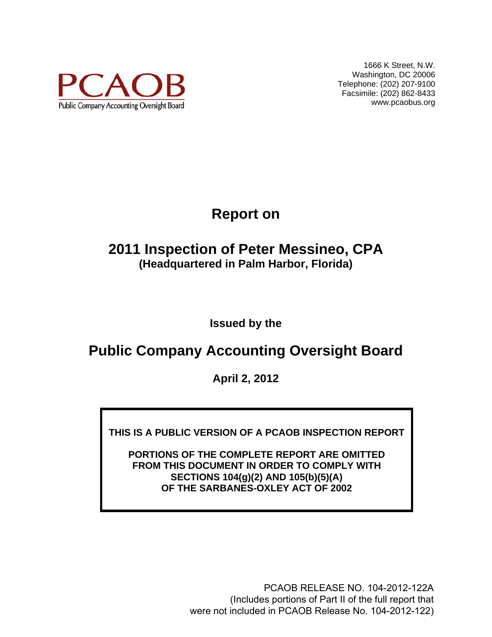

1666 K Street, N.W. Washington, DC 20006 Telephone: (202) 207-9100 Facsimile: (202) 862-8433 www.pcaobus.org

# **Report on**

# **2011 Inspection of Peter Messineo, CPA (Headquartered in Palm Harbor, Florida)**

**Issued by the** 

# **Public Company Accounting Oversight Board**

**April 2, 2012** 

**THIS IS A PUBLIC VERSION OF A PCAOB INSPECTION REPORT** 

**PORTIONS OF THE COMPLETE REPORT ARE OMITTED FROM THIS DOCUMENT IN ORDER TO COMPLY WITH SECTIONS 104(g)(2) AND 105(b)(5)(A) OF THE SARBANES-OXLEY ACT OF 2002** 

> PCAOB RELEASE NO. 104-2012-122A (Includes portions of Part II of the full report that were not included in PCAOB Release No. 104-2012-122)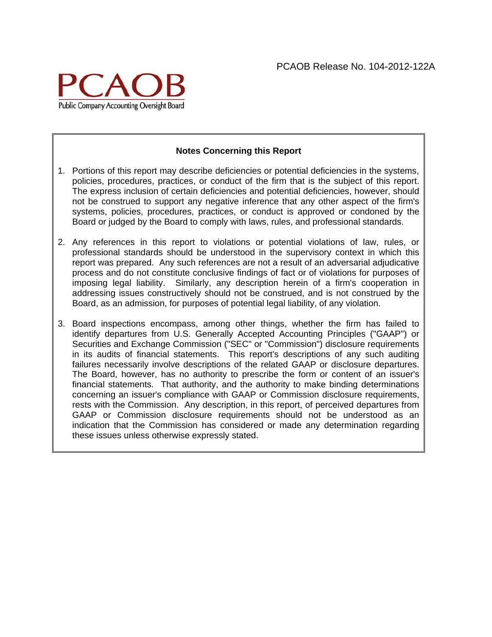

#### **Notes Concerning this Report**

- 1. Portions of this report may describe deficiencies or potential deficiencies in the systems, policies, procedures, practices, or conduct of the firm that is the subject of this report. The express inclusion of certain deficiencies and potential deficiencies, however, should not be construed to support any negative inference that any other aspect of the firm's systems, policies, procedures, practices, or conduct is approved or condoned by the Board or judged by the Board to comply with laws, rules, and professional standards.
- 2. Any references in this report to violations or potential violations of law, rules, or professional standards should be understood in the supervisory context in which this report was prepared. Any such references are not a result of an adversarial adjudicative process and do not constitute conclusive findings of fact or of violations for purposes of imposing legal liability. Similarly, any description herein of a firm's cooperation in addressing issues constructively should not be construed, and is not construed by the Board, as an admission, for purposes of potential legal liability, of any violation.
- 3. Board inspections encompass, among other things, whether the firm has failed to identify departures from U.S. Generally Accepted Accounting Principles ("GAAP") or Securities and Exchange Commission ("SEC" or "Commission") disclosure requirements in its audits of financial statements. This report's descriptions of any such auditing failures necessarily involve descriptions of the related GAAP or disclosure departures. The Board, however, has no authority to prescribe the form or content of an issuer's financial statements. That authority, and the authority to make binding determinations concerning an issuer's compliance with GAAP or Commission disclosure requirements, rests with the Commission. Any description, in this report, of perceived departures from GAAP or Commission disclosure requirements should not be understood as an indication that the Commission has considered or made any determination regarding these issues unless otherwise expressly stated.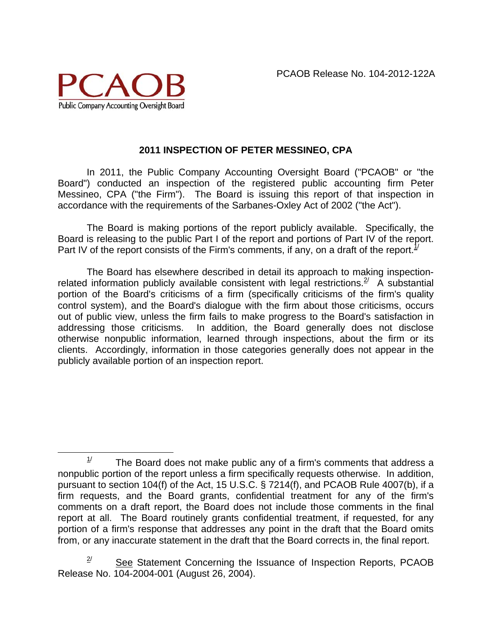

### **2011 INSPECTION OF PETER MESSINEO, CPA**

In 2011, the Public Company Accounting Oversight Board ("PCAOB" or "the Board") conducted an inspection of the registered public accounting firm Peter Messineo, CPA ("the Firm"). The Board is issuing this report of that inspection in accordance with the requirements of the Sarbanes-Oxley Act of 2002 ("the Act").

The Board is making portions of the report publicly available. Specifically, the Board is releasing to the public Part I of the report and portions of Part IV of the report. Part IV of the report consists of the Firm's comments, if any, on a draft of the report.<sup>1/</sup>

The Board has elsewhere described in detail its approach to making inspectionrelated information publicly available consistent with legal restrictions.  $\frac{2}{x}$  A substantial portion of the Board's criticisms of a firm (specifically criticisms of the firm's quality control system), and the Board's dialogue with the firm about those criticisms, occurs out of public view, unless the firm fails to make progress to the Board's satisfaction in addressing those criticisms. In addition, the Board generally does not disclose otherwise nonpublic information, learned through inspections, about the firm or its clients. Accordingly, information in those categories generally does not appear in the publicly available portion of an inspection report.

 $1/$  The Board does not make public any of a firm's comments that address a nonpublic portion of the report unless a firm specifically requests otherwise. In addition, pursuant to section 104(f) of the Act, 15 U.S.C. § 7214(f), and PCAOB Rule 4007(b), if a firm requests, and the Board grants, confidential treatment for any of the firm's comments on a draft report, the Board does not include those comments in the final report at all. The Board routinely grants confidential treatment, if requested, for any portion of a firm's response that addresses any point in the draft that the Board omits from, or any inaccurate statement in the draft that the Board corrects in, the final report.

 $2^{\prime}$  See Statement Concerning the Issuance of Inspection Reports, PCAOB Release No. 104-2004-001 (August 26, 2004).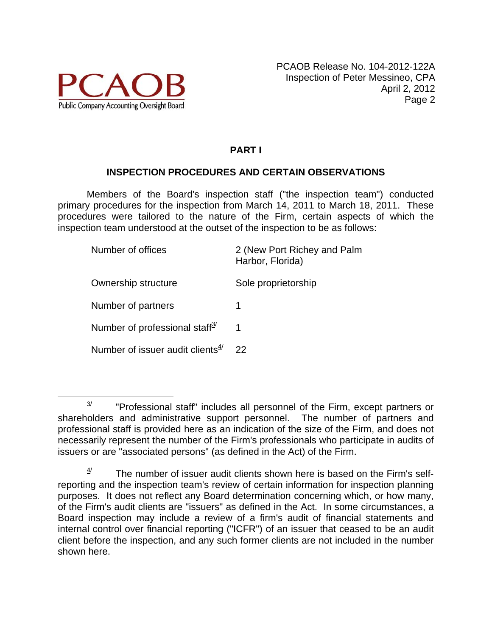

# **PART I**

## **INSPECTION PROCEDURES AND CERTAIN OBSERVATIONS**

Members of the Board's inspection staff ("the inspection team") conducted primary procedures for the inspection from March 14, 2011 to March 18, 2011. These procedures were tailored to the nature of the Firm, certain aspects of which the inspection team understood at the outset of the inspection to be as follows:

| 2 (New Port Richey and Palm<br>Harbor, Florida) |
|-------------------------------------------------|
| Sole proprietorship                             |
| 1                                               |
|                                                 |
| 22                                              |
|                                                 |

 $3$ <sup>2</sup> "Professional staff" includes all personnel of the Firm, except partners or shareholders and administrative support personnel. The number of partners and professional staff is provided here as an indication of the size of the Firm, and does not necessarily represent the number of the Firm's professionals who participate in audits of issuers or are "associated persons" (as defined in the Act) of the Firm.

The number of issuer audit clients shown here is based on the Firm's selfreporting and the inspection team's review of certain information for inspection planning purposes. It does not reflect any Board determination concerning which, or how many, of the Firm's audit clients are "issuers" as defined in the Act. In some circumstances, a Board inspection may include a review of a firm's audit of financial statements and internal control over financial reporting ("ICFR") of an issuer that ceased to be an audit client before the inspection, and any such former clients are not included in the number shown here.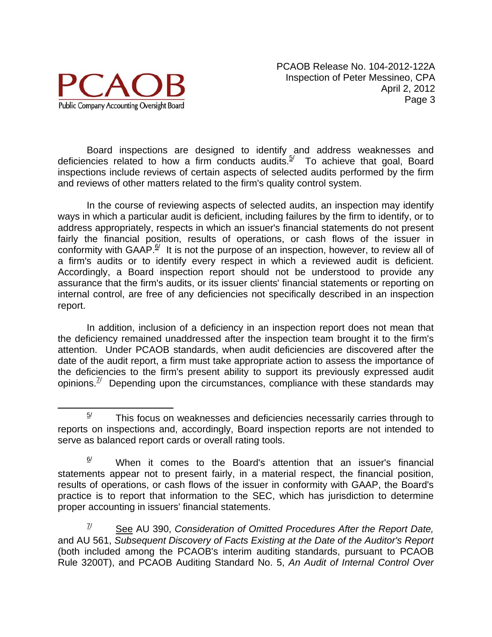

Board inspections are designed to identify and address weaknesses and deficiencies related to how a firm conducts audits. $5/$  To achieve that goal, Board inspections include reviews of certain aspects of selected audits performed by the firm and reviews of other matters related to the firm's quality control system.

In the course of reviewing aspects of selected audits, an inspection may identify ways in which a particular audit is deficient, including failures by the firm to identify, or to address appropriately, respects in which an issuer's financial statements do not present fairly the financial position, results of operations, or cash flows of the issuer in conformity with GAAP.<sup> $\frac{6}{7}$ </sup> It is not the purpose of an inspection, however, to review all of a firm's audits or to identify every respect in which a reviewed audit is deficient. Accordingly, a Board inspection report should not be understood to provide any assurance that the firm's audits, or its issuer clients' financial statements or reporting on internal control, are free of any deficiencies not specifically described in an inspection report.

In addition, inclusion of a deficiency in an inspection report does not mean that the deficiency remained unaddressed after the inspection team brought it to the firm's attention. Under PCAOB standards, when audit deficiencies are discovered after the date of the audit report, a firm must take appropriate action to assess the importance of the deficiencies to the firm's present ability to support its previously expressed audit opinions. $\frac{7}{1}$  Depending upon the circumstances, compliance with these standards may

 7/ See AU 390, *Consideration of Omitted Procedures After the Report Date,* and AU 561, *Subsequent Discovery of Facts Existing at the Date of the Auditor's Report*  (both included among the PCAOB's interim auditing standards, pursuant to PCAOB Rule 3200T), and PCAOB Auditing Standard No. 5, *An Audit of Internal Control Over* 

 $5/$  This focus on weaknesses and deficiencies necessarily carries through to reports on inspections and, accordingly, Board inspection reports are not intended to serve as balanced report cards or overall rating tools.

 $\frac{6}{1}$  When it comes to the Board's attention that an issuer's financial statements appear not to present fairly, in a material respect, the financial position, results of operations, or cash flows of the issuer in conformity with GAAP, the Board's practice is to report that information to the SEC, which has jurisdiction to determine proper accounting in issuers' financial statements.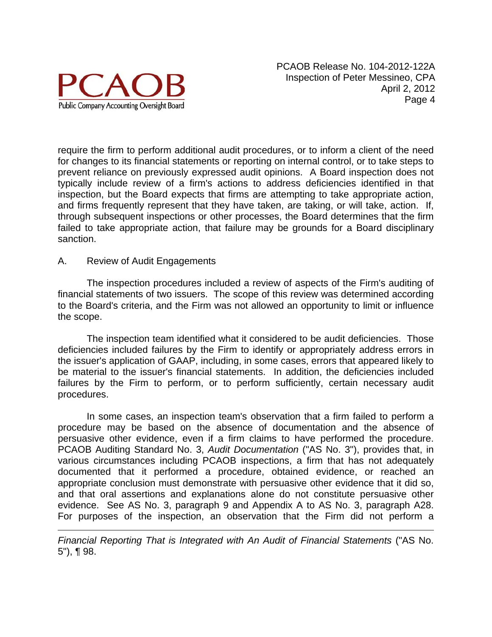

require the firm to perform additional audit procedures, or to inform a client of the need for changes to its financial statements or reporting on internal control, or to take steps to prevent reliance on previously expressed audit opinions. A Board inspection does not typically include review of a firm's actions to address deficiencies identified in that inspection, but the Board expects that firms are attempting to take appropriate action, and firms frequently represent that they have taken, are taking, or will take, action. If, through subsequent inspections or other processes, the Board determines that the firm failed to take appropriate action, that failure may be grounds for a Board disciplinary sanction.

#### A. Review of Audit Engagements

 $\overline{a}$ 

The inspection procedures included a review of aspects of the Firm's auditing of financial statements of two issuers. The scope of this review was determined according to the Board's criteria, and the Firm was not allowed an opportunity to limit or influence the scope.

The inspection team identified what it considered to be audit deficiencies. Those deficiencies included failures by the Firm to identify or appropriately address errors in the issuer's application of GAAP, including, in some cases, errors that appeared likely to be material to the issuer's financial statements. In addition, the deficiencies included failures by the Firm to perform, or to perform sufficiently, certain necessary audit procedures.

In some cases, an inspection team's observation that a firm failed to perform a procedure may be based on the absence of documentation and the absence of persuasive other evidence, even if a firm claims to have performed the procedure. PCAOB Auditing Standard No. 3, *Audit Documentation* ("AS No. 3"), provides that, in various circumstances including PCAOB inspections, a firm that has not adequately documented that it performed a procedure, obtained evidence, or reached an appropriate conclusion must demonstrate with persuasive other evidence that it did so, and that oral assertions and explanations alone do not constitute persuasive other evidence. See AS No. 3, paragraph 9 and Appendix A to AS No. 3, paragraph A28. For purposes of the inspection, an observation that the Firm did not perform a

*Financial Reporting That is Integrated with An Audit of Financial Statements* ("AS No. 5"), ¶ 98.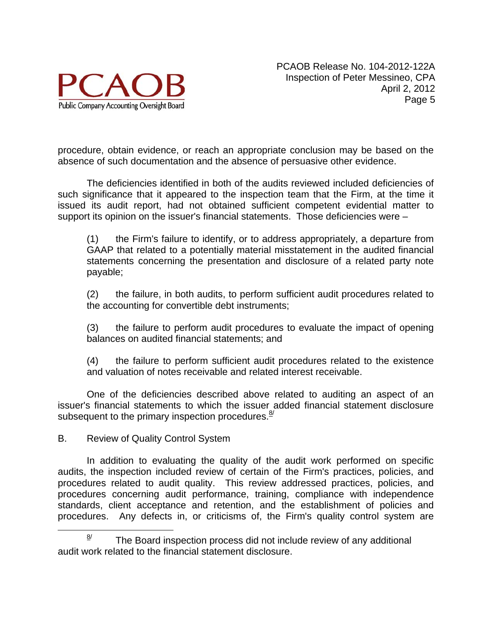

procedure, obtain evidence, or reach an appropriate conclusion may be based on the absence of such documentation and the absence of persuasive other evidence.

The deficiencies identified in both of the audits reviewed included deficiencies of such significance that it appeared to the inspection team that the Firm, at the time it issued its audit report, had not obtained sufficient competent evidential matter to support its opinion on the issuer's financial statements. Those deficiencies were –

(1) the Firm's failure to identify, or to address appropriately, a departure from GAAP that related to a potentially material misstatement in the audited financial statements concerning the presentation and disclosure of a related party note payable;

(2) the failure, in both audits, to perform sufficient audit procedures related to the accounting for convertible debt instruments;

(3) the failure to perform audit procedures to evaluate the impact of opening balances on audited financial statements; and

(4) the failure to perform sufficient audit procedures related to the existence and valuation of notes receivable and related interest receivable.

One of the deficiencies described above related to auditing an aspect of an issuer's financial statements to which the issuer added financial statement disclosure subsequent to the primary inspection procedures. $\frac{8}{3}$ 

B. Review of Quality Control System

In addition to evaluating the quality of the audit work performed on specific audits, the inspection included review of certain of the Firm's practices, policies, and procedures related to audit quality. This review addressed practices, policies, and procedures concerning audit performance, training, compliance with independence standards, client acceptance and retention, and the establishment of policies and procedures. Any defects in, or criticisms of, the Firm's quality control system are

 $\frac{8}{1}$  The Board inspection process did not include review of any additional audit work related to the financial statement disclosure.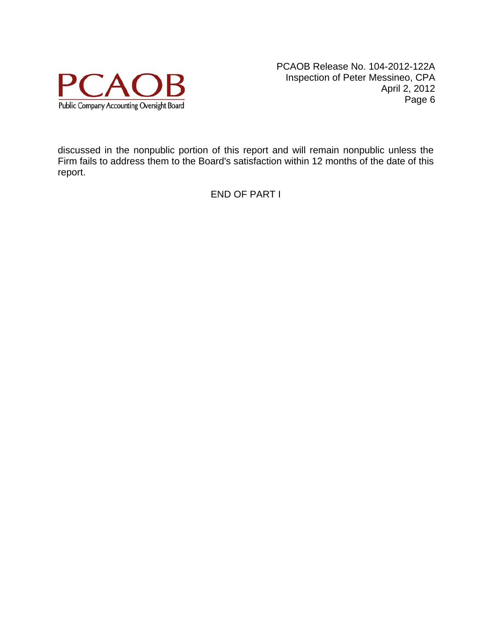

discussed in the nonpublic portion of this report and will remain nonpublic unless the Firm fails to address them to the Board's satisfaction within 12 months of the date of this report.

END OF PART I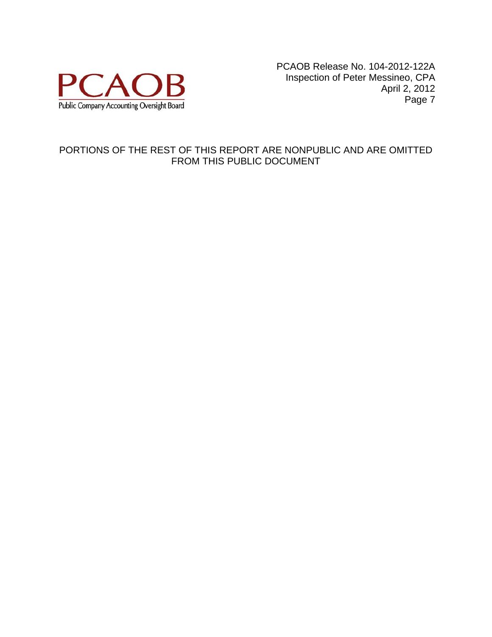

### PORTIONS OF THE REST OF THIS REPORT ARE NONPUBLIC AND ARE OMITTED FROM THIS PUBLIC DOCUMENT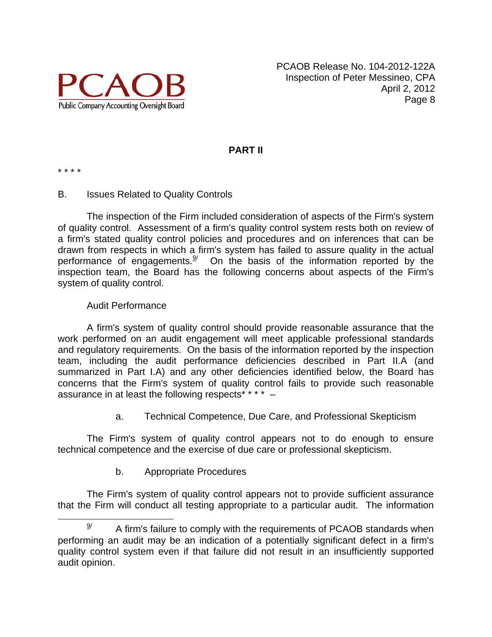

## **PART II**

\* \* \* \*

#### B. Issues Related to Quality Controls

The inspection of the Firm included consideration of aspects of the Firm's system of quality control. Assessment of a firm's quality control system rests both on review of a firm's stated quality control policies and procedures and on inferences that can be drawn from respects in which a firm's system has failed to assure quality in the actual performance of engagements. $\frac{9}{2}$  On the basis of the information reported by the inspection team, the Board has the following concerns about aspects of the Firm's system of quality control.

#### Audit Performance

A firm's system of quality control should provide reasonable assurance that the work performed on an audit engagement will meet applicable professional standards and regulatory requirements. On the basis of the information reported by the inspection team, including the audit performance deficiencies described in Part II.A (and summarized in Part I.A) and any other deficiencies identified below, the Board has concerns that the Firm's system of quality control fails to provide such reasonable assurance in at least the following respects\* \* \* \* -

a. Technical Competence, Due Care, and Professional Skepticism

The Firm's system of quality control appears not to do enough to ensure technical competence and the exercise of due care or professional skepticism.

b. Appropriate Procedures

The Firm's system of quality control appears not to provide sufficient assurance that the Firm will conduct all testing appropriate to a particular audit. The information

 $\frac{9}{2}$  A firm's failure to comply with the requirements of PCAOB standards when performing an audit may be an indication of a potentially significant defect in a firm's quality control system even if that failure did not result in an insufficiently supported audit opinion.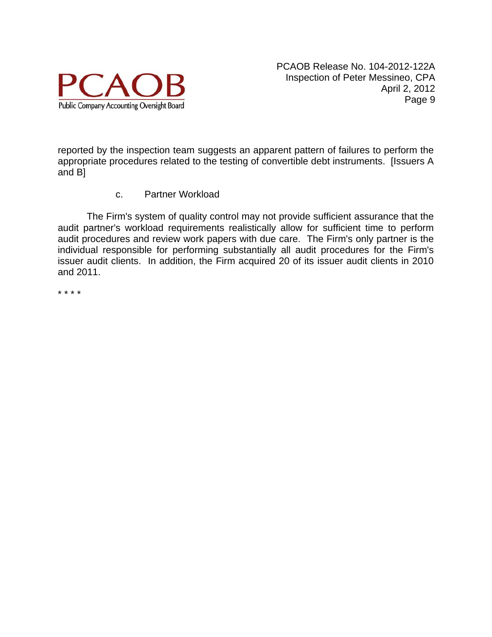

reported by the inspection team suggests an apparent pattern of failures to perform the appropriate procedures related to the testing of convertible debt instruments. [Issuers A and B]

c. Partner Workload

The Firm's system of quality control may not provide sufficient assurance that the audit partner's workload requirements realistically allow for sufficient time to perform audit procedures and review work papers with due care. The Firm's only partner is the individual responsible for performing substantially all audit procedures for the Firm's issuer audit clients. In addition, the Firm acquired 20 of its issuer audit clients in 2010 and 2011.

\* \* \* \*